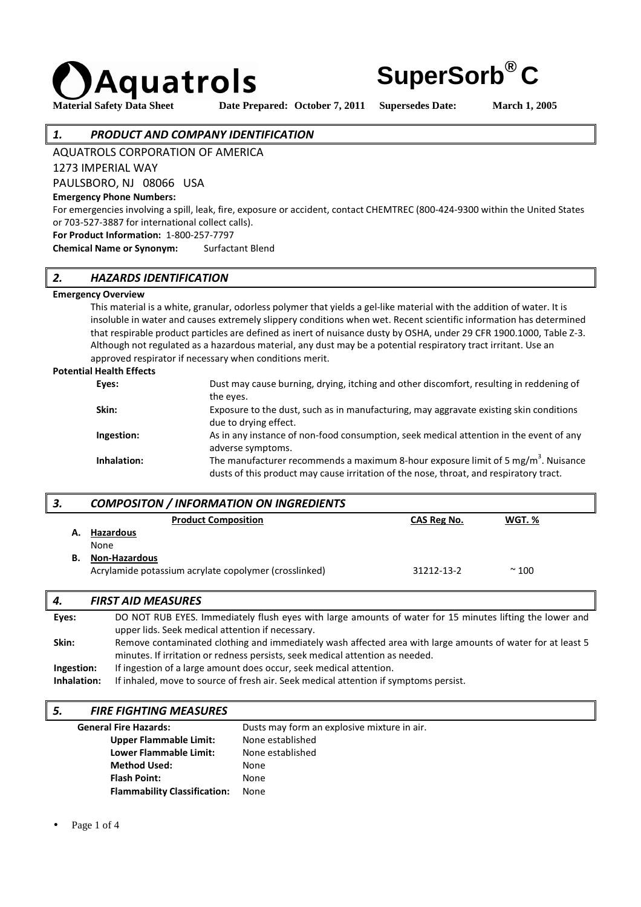

**Material Safety Data Sheet Date Prepared: October 7, 2011 Supersedes Date: March 1, 2005** 

**SuperSorb® C**

#### *1. PRODUCT AND COMPANY IDENTIFICATION*

AQUATROLS CORPORATION OF AMERICA

1273 IMPERIAL WAY

PAULSBORO, NJ 08066 USA

#### **Emergency Phone Numbers:**

For emergencies involving a spill, leak, fire, exposure or accident, contact CHEMTREC (800-424-9300 within the United States or 703-527-3887 for international collect calls).

**For Product Information:** 1-800-257-7797

**Chemical Name or Synonym:** Surfactant Blend

#### *2. HAZARDS IDENTIFICATION*

#### **Emergency Overview**

 This material is a white, granular, odorless polymer that yields a gel-like material with the addition of water. It is insoluble in water and causes extremely slippery conditions when wet. Recent scientific information has determined that respirable product particles are defined as inert of nuisance dusty by OSHA, under 29 CFR 1900.1000, Table Z-3. Although not regulated as a hazardous material, any dust may be a potential respiratory tract irritant. Use an approved respirator if necessary when conditions merit.

#### **Potential Health Effects**

| Eyes:       | Dust may cause burning, drying, itching and other discomfort, resulting in reddening of                                                                                        |
|-------------|--------------------------------------------------------------------------------------------------------------------------------------------------------------------------------|
|             | the eyes.                                                                                                                                                                      |
| Skin:       | Exposure to the dust, such as in manufacturing, may aggravate existing skin conditions<br>due to drying effect.                                                                |
| Ingestion:  | As in any instance of non-food consumption, seek medical attention in the event of any<br>adverse symptoms.                                                                    |
| Inhalation: | The manufacturer recommends a maximum 8-hour exposure limit of 5 mg/ $m3$ . Nuisance<br>dusts of this product may cause irritation of the nose, throat, and respiratory tract. |

# *3. COMPOSITON / INFORMATION ON INGREDIENTS* **Product Composition CAS Reg No. WGT. % A. Hazardous** None **B. Non-Hazardous** Acrylamide potassium acrylate copolymer (crosslinked) 31212-13-2  $\sim$  100

## *4. FIRST AID MEASURES*

| DO NOT RUB EYES. Immediately flush eyes with large amounts of water for 15 minutes lifting the lower and   |
|------------------------------------------------------------------------------------------------------------|
| upper lids. Seek medical attention if necessary.                                                           |
| Remove contaminated clothing and immediately wash affected area with large amounts of water for at least 5 |
| minutes. If irritation or redness persists, seek medical attention as needed.                              |
| If ingestion of a large amount does occur, seek medical attention.                                         |
| If inhaled, move to source of fresh air. Seek medical attention if symptoms persist.                       |
|                                                                                                            |

#### *5. FIRE FIGHTING MEASURES*

| <b>General Fire Hazards:</b>        | Dusts may form an explosive mixture in air. |
|-------------------------------------|---------------------------------------------|
| <b>Upper Flammable Limit:</b>       | None established                            |
| Lower Flammable Limit:              | None established                            |
| <b>Method Used:</b>                 | None                                        |
| <b>Flash Point:</b>                 | None                                        |
| <b>Flammability Classification:</b> | None                                        |

Page 1 of 4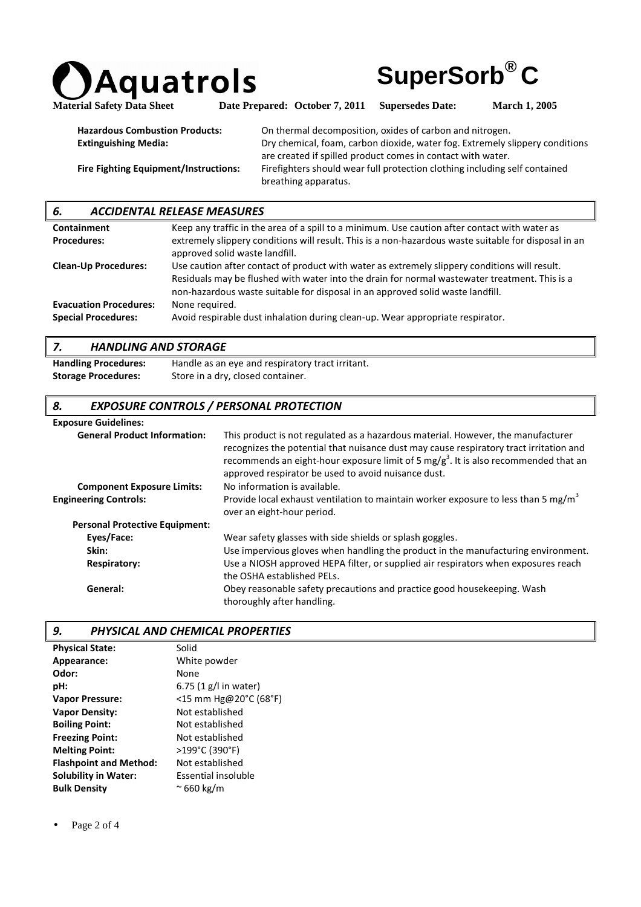



Material Safety Data Sheet Date Prepared: October 7, 2011 Supersedes Date: March 1, 2005

| <b>Hazardous Combustion Products:</b>        | On thermal decomposition, oxides of carbon and nitrogen.                     |
|----------------------------------------------|------------------------------------------------------------------------------|
| <b>Extinguishing Media:</b>                  | Dry chemical, foam, carbon dioxide, water fog. Extremely slippery conditions |
|                                              | are created if spilled product comes in contact with water.                  |
| <b>Fire Fighting Equipment/Instructions:</b> | Firefighters should wear full protection clothing including self contained   |
|                                              | breathing apparatus.                                                         |

| <b>ACCIDENTAL RELEASE MEASURES</b><br>6. |                                                                                                                                                                                                                                                                                  |  |
|------------------------------------------|----------------------------------------------------------------------------------------------------------------------------------------------------------------------------------------------------------------------------------------------------------------------------------|--|
| <b>Containment</b>                       | Keep any traffic in the area of a spill to a minimum. Use caution after contact with water as                                                                                                                                                                                    |  |
| <b>Procedures:</b>                       | extremely slippery conditions will result. This is a non-hazardous waste suitable for disposal in an<br>approved solid waste landfill.                                                                                                                                           |  |
| <b>Clean-Up Procedures:</b>              | Use caution after contact of product with water as extremely slippery conditions will result.<br>Residuals may be flushed with water into the drain for normal wastewater treatment. This is a<br>non-hazardous waste suitable for disposal in an approved solid waste landfill. |  |
| <b>Evacuation Procedures:</b>            | None required.                                                                                                                                                                                                                                                                   |  |
| <b>Special Procedures:</b>               | Avoid respirable dust inhalation during clean-up. Wear appropriate respirator.                                                                                                                                                                                                   |  |

#### *7. HANDLING AND STORAGE*

**Handling Procedures:** Handle as an eye and respiratory tract irritant. **Storage Procedures:** Store in a dry, closed container.

## *8. EXPOSURE CONTROLS / PERSONAL PROTECTION*

#### **Exposure Guidelines:**

| <b>General Product Information:</b>   | This product is not regulated as a hazardous material. However, the manufacturer<br>recognizes the potential that nuisance dust may cause respiratory tract irritation and<br>recommends an eight-hour exposure limit of 5 mg/ $g^3$ . It is also recommended that an<br>approved respirator be used to avoid nuisance dust. |
|---------------------------------------|------------------------------------------------------------------------------------------------------------------------------------------------------------------------------------------------------------------------------------------------------------------------------------------------------------------------------|
| <b>Component Exposure Limits:</b>     | No information is available.                                                                                                                                                                                                                                                                                                 |
| <b>Engineering Controls:</b>          | Provide local exhaust ventilation to maintain worker exposure to less than 5 mg/m <sup>3</sup><br>over an eight-hour period.                                                                                                                                                                                                 |
| <b>Personal Protective Equipment:</b> |                                                                                                                                                                                                                                                                                                                              |
| Eyes/Face:                            | Wear safety glasses with side shields or splash goggles.                                                                                                                                                                                                                                                                     |
| Skin:                                 | Use impervious gloves when handling the product in the manufacturing environment.                                                                                                                                                                                                                                            |
| Respiratory:                          | Use a NIOSH approved HEPA filter, or supplied air respirators when exposures reach<br>the OSHA established PELs.                                                                                                                                                                                                             |
| General:                              | Obey reasonable safety precautions and practice good housekeeping. Wash<br>thoroughly after handling.                                                                                                                                                                                                                        |

#### *9. PHYSICAL AND CHEMICAL PROPERTIES*

| <b>Physical State:</b>        | Solid                    |
|-------------------------------|--------------------------|
| Appearance:                   | White powder             |
| Odor:                         | None                     |
| pH:                           | 6.75 $(1 g/l)$ in water) |
| <b>Vapor Pressure:</b>        | <15 mm Hg@20°C (68°F)    |
| <b>Vapor Density:</b>         | Not established          |
| <b>Boiling Point:</b>         | Not established          |
| <b>Freezing Point:</b>        | Not established          |
| <b>Melting Point:</b>         | >199°C (390°F)           |
| <b>Flashpoint and Method:</b> | Not established          |
| <b>Solubility in Water:</b>   | Essential insoluble      |
| <b>Bulk Density</b>           | $\approx$ 660 kg/m       |

Page 2 of 4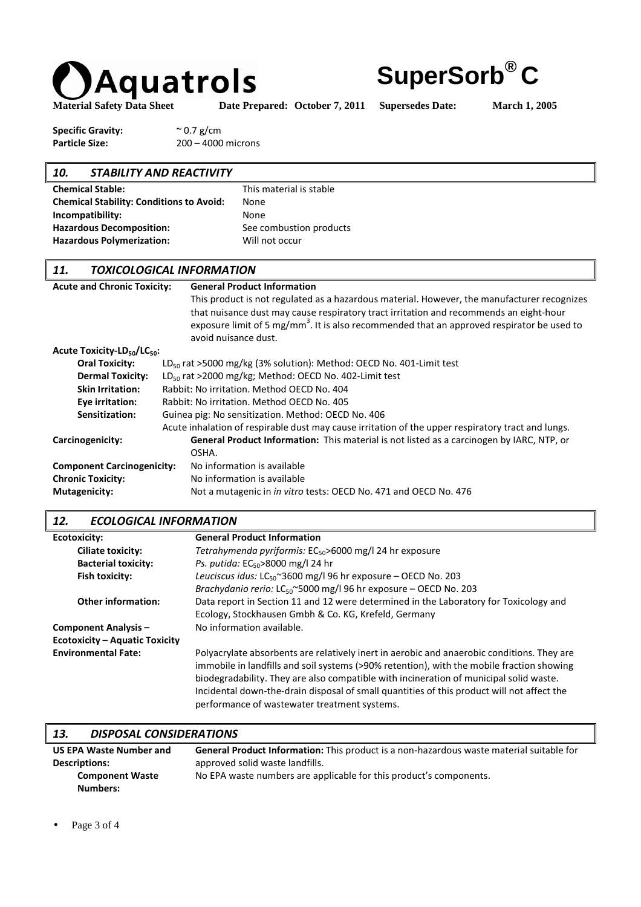

**SuperSorb® C**

Material Safety Data Sheet Date Prepared: October 7, 2011 Supersedes Date: March 1, 2005

**Specific Gravity:**  $\sim 0.7$  g/cm Particle Size: 200 – 4000 microns

# *10. STABILITY AND REACTIVITY*  **Chemical Stable:** This material is stable **Chemical Stability: Conditions to Avoid:** None **Incompatibility:** None Hazardous Decomposition: See combustion products Hazardous Polymerization: Will not occur

# *11. TOXICOLOGICAL INFORMATION*

| <b>Acute and Chronic Toxicity:</b>                  | <b>General Product Information</b>                                                                                                                                                               |
|-----------------------------------------------------|--------------------------------------------------------------------------------------------------------------------------------------------------------------------------------------------------|
|                                                     | This product is not regulated as a hazardous material. However, the manufacturer recognizes                                                                                                      |
|                                                     | that nuisance dust may cause respiratory tract irritation and recommends an eight-hour<br>exposure limit of 5 mg/mm <sup>3</sup> . It is also recommended that an approved respirator be used to |
|                                                     | avoid nuisance dust.                                                                                                                                                                             |
| Acute Toxicity-LD <sub>50</sub> /LC <sub>50</sub> : |                                                                                                                                                                                                  |
| <b>Oral Toxicity:</b>                               | $LD_{50}$ rat >5000 mg/kg (3% solution): Method: OECD No. 401-Limit test                                                                                                                         |
| <b>Dermal Toxicity:</b>                             | $LD_{50}$ rat >2000 mg/kg; Method: OECD No. 402-Limit test                                                                                                                                       |
| <b>Skin Irritation:</b>                             | Rabbit: No irritation. Method OECD No. 404                                                                                                                                                       |
| Eye irritation:                                     | Rabbit: No irritation. Method OECD No. 405                                                                                                                                                       |
| Sensitization:                                      | Guinea pig: No sensitization. Method: OECD No. 406                                                                                                                                               |
|                                                     | Acute inhalation of respirable dust may cause irritation of the upper respiratory tract and lungs.                                                                                               |
| Carcinogenicity:                                    | General Product Information: This material is not listed as a carcinogen by IARC, NTP, or                                                                                                        |
|                                                     | OSHA.                                                                                                                                                                                            |
| <b>Component Carcinogenicity:</b>                   | No information is available                                                                                                                                                                      |
| <b>Chronic Toxicity:</b>                            | No information is available                                                                                                                                                                      |
| Mutagenicity:                                       | Not a mutagenic in <i>in vitro</i> tests: OECD No. 471 and OECD No. 476                                                                                                                          |

# *12. ECOLOGICAL INFORMATION*

| Ecotoxicity:                          | <b>General Product Information</b>                                                                                                                                                                                                                                                                                                                                                                                              |
|---------------------------------------|---------------------------------------------------------------------------------------------------------------------------------------------------------------------------------------------------------------------------------------------------------------------------------------------------------------------------------------------------------------------------------------------------------------------------------|
| Ciliate toxicity:                     | Tetrahymenda pyriformis: $EC_{50}$ >6000 mg/l 24 hr exposure                                                                                                                                                                                                                                                                                                                                                                    |
| <b>Bacterial toxicity:</b>            | Ps. putida: $EC_{50}$ >8000 mg/l 24 hr                                                                                                                                                                                                                                                                                                                                                                                          |
| Fish toxicity:                        | Leuciscus idus: $LC_{50}$ ~3600 mg/l 96 hr exposure – OECD No. 203                                                                                                                                                                                                                                                                                                                                                              |
|                                       | <i>Brachydanio rerio:</i> LC <sub>50</sub> ~5000 mg/l 96 hr exposure – OECD No. 203                                                                                                                                                                                                                                                                                                                                             |
| <b>Other information:</b>             | Data report in Section 11 and 12 were determined in the Laboratory for Toxicology and                                                                                                                                                                                                                                                                                                                                           |
|                                       | Ecology, Stockhausen Gmbh & Co. KG, Krefeld, Germany                                                                                                                                                                                                                                                                                                                                                                            |
| <b>Component Analysis -</b>           | No information available.                                                                                                                                                                                                                                                                                                                                                                                                       |
| <b>Ecotoxicity - Aquatic Toxicity</b> |                                                                                                                                                                                                                                                                                                                                                                                                                                 |
| <b>Environmental Fate:</b>            | Polyacrylate absorbents are relatively inert in aerobic and anaerobic conditions. They are<br>immobile in landfills and soil systems (>90% retention), with the mobile fraction showing<br>biodegradability. They are also compatible with incineration of municipal solid waste.<br>Incidental down-the-drain disposal of small quantities of this product will not affect the<br>performance of wastewater treatment systems. |

| 13.<br><b>DISPOSAL CONSIDERATIONS</b> |                                                                                                 |
|---------------------------------------|-------------------------------------------------------------------------------------------------|
| <b>US EPA Waste Number and</b>        | <b>General Product Information:</b> This product is a non-hazardous waste material suitable for |
| <b>Descriptions:</b>                  | approved solid waste landfills.                                                                 |
| <b>Component Waste</b>                | No EPA waste numbers are applicable for this product's components.                              |
| <b>Numbers:</b>                       |                                                                                                 |

Page 3 of 4